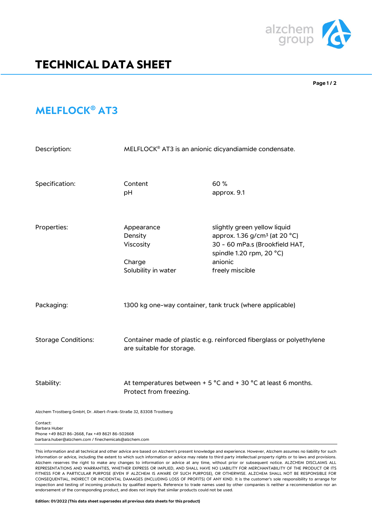

## **TECHNICAL DATA SHEET**

**Page 1 / 2**

## **MELFLOCK® AT3**

| Description:               | MELFLOCK <sup>®</sup> AT3 is an anionic dicyandiamide condensate.                                           |                                                                                                                                                                       |
|----------------------------|-------------------------------------------------------------------------------------------------------------|-----------------------------------------------------------------------------------------------------------------------------------------------------------------------|
| Specification:             | Content<br>pH                                                                                               | 60%<br>approx. 9.1                                                                                                                                                    |
| Properties:                | Appearance<br>Density<br>Viscosity<br>Charge<br>Solubility in water                                         | slightly green yellow liquid<br>approx. 1.36 g/cm <sup>3</sup> (at 20 °C)<br>30 - 60 mPa.s (Brookfield HAT,<br>spindle 1.20 rpm, 20 °C)<br>anionic<br>freely miscible |
| Packaging:                 | 1300 kg one-way container, tank truck (where applicable)                                                    |                                                                                                                                                                       |
| <b>Storage Conditions:</b> | Container made of plastic e.g. reinforced fiberglass or polyethylene<br>are suitable for storage.           |                                                                                                                                                                       |
| Stability:                 | At temperatures between + 5 $^{\circ}$ C and + 30 $^{\circ}$ C at least 6 months.<br>Protect from freezing. |                                                                                                                                                                       |

Alzchem Trostberg GmbH, Dr. Albert-Frank-Straße 32, 83308 Trostberg

Contact: Barbara Huber Phone +49 8621 86-2668, Fax +49 8621 86-502668 barbara.huber@alzchem.com / finechemicals@alzchem.com

This information and all technical and other advice are based on Alzchem's present knowledge and experience. However, Alzchem assumes no liability for such information or advice, including the extent to which such information or advice may relate to third party intellectual property rights or to laws and provisions. Alzchem reserves the right to make any changes to information or advice at any time, without prior or subsequent notice. ALZCHEM DISCLAIMS ALL REPRESENTATIONS AND WARRANTIES, WHETHER EXPRESS OR IMPLIED, AND SHALL HAVE NO LIABILITY FOR MERCHANTABILITY OF THE PRODUCT OR ITS FITNESS FOR A PARTICULAR PURPOSE (EVEN IF ALZCHEM IS AWARE OF SUCH PURPOSE), OR OTHERWISE. ALZCHEM SHALL NOT BE RESPONSIBLE FOR CONSEQUENTIAL, INDIRECT OR INCIDENTAL DAMAGES (INCLUDING LOSS OF PROFITS) OF ANY KIND. It is the customer's sole responsibility to arrange for inspection and testing of incoming products by qualified experts. Reference to trade names used by other companies is neither a recommendation nor an endorsement of the corresponding product, and does not imply that similar products could not be used.

**Edition: 01/2022 (This data sheet supersedes all previous data sheets for this product)**